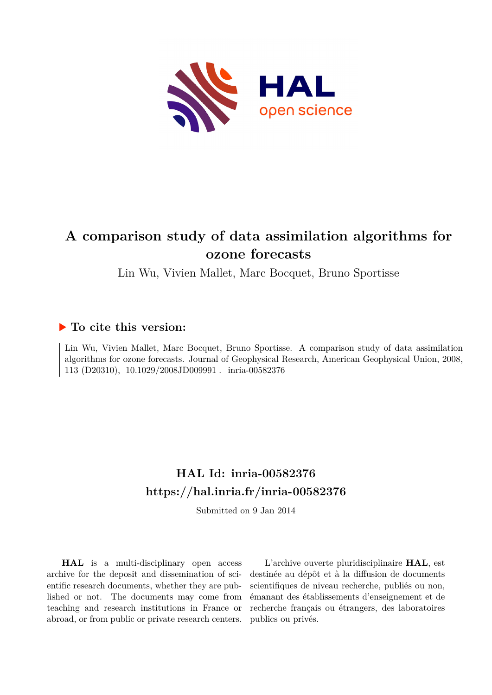

# **A comparison study of data assimilation algorithms for ozone forecasts**

Lin Wu, Vivien Mallet, Marc Bocquet, Bruno Sportisse

# **To cite this version:**

Lin Wu, Vivien Mallet, Marc Bocquet, Bruno Sportisse. A comparison study of data assimilation algorithms for ozone forecasts. Journal of Geophysical Research, American Geophysical Union, 2008, 113 (D20310),  $10.1029/2008JD009991$ . inria-00582376

# **HAL Id: inria-00582376 <https://hal.inria.fr/inria-00582376>**

Submitted on 9 Jan 2014

**HAL** is a multi-disciplinary open access archive for the deposit and dissemination of scientific research documents, whether they are published or not. The documents may come from teaching and research institutions in France or abroad, or from public or private research centers.

L'archive ouverte pluridisciplinaire **HAL**, est destinée au dépôt et à la diffusion de documents scientifiques de niveau recherche, publiés ou non, émanant des établissements d'enseignement et de recherche français ou étrangers, des laboratoires publics ou privés.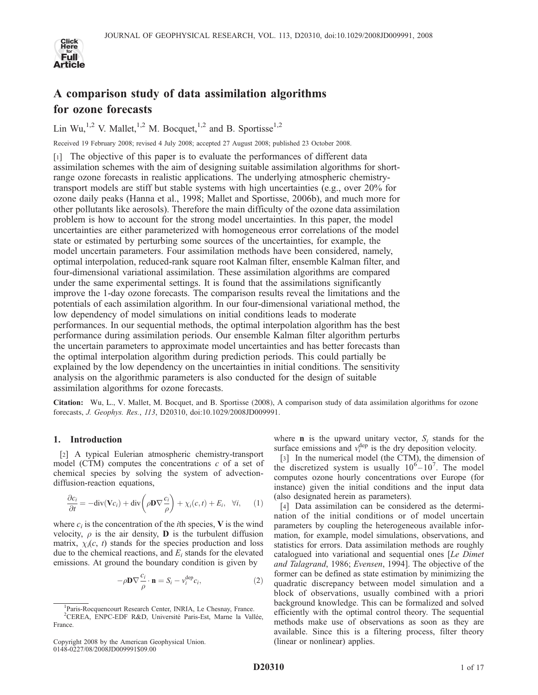

# A comparison study of data assimilation algorithms for ozone forecasts

Lin Wu,<sup>1,2</sup> V. Mallet,<sup>1,2</sup> M. Bocquet,<sup>1,2</sup> and B. Sportisse<sup>1,2</sup>

Received 19 February 2008; revised 4 July 2008; accepted 27 August 2008; published 23 October 2008.

[1] The objective of this paper is to evaluate the performances of different data assimilation schemes with the aim of designing suitable assimilation algorithms for shortrange ozone forecasts in realistic applications. The underlying atmospheric chemistrytransport models are stiff but stable systems with high uncertainties (e.g., over 20% for ozone daily peaks (Hanna et al., 1998; Mallet and Sportisse, 2006b), and much more for other pollutants like aerosols). Therefore the main difficulty of the ozone data assimilation problem is how to account for the strong model uncertainties. In this paper, the model uncertainties are either parameterized with homogeneous error correlations of the model state or estimated by perturbing some sources of the uncertainties, for example, the model uncertain parameters. Four assimilation methods have been considered, namely, optimal interpolation, reduced-rank square root Kalman filter, ensemble Kalman filter, and four-dimensional variational assimilation. These assimilation algorithms are compared under the same experimental settings. It is found that the assimilations significantly improve the 1-day ozone forecasts. The comparison results reveal the limitations and the potentials of each assimilation algorithm. In our four-dimensional variational method, the low dependency of model simulations on initial conditions leads to moderate performances. In our sequential methods, the optimal interpolation algorithm has the best performance during assimilation periods. Our ensemble Kalman filter algorithm perturbs the uncertain parameters to approximate model uncertainties and has better forecasts than the optimal interpolation algorithm during prediction periods. This could partially be explained by the low dependency on the uncertainties in initial conditions. The sensitivity analysis on the algorithmic parameters is also conducted for the design of suitable assimilation algorithms for ozone forecasts.

Citation: Wu, L., V. Mallet, M. Bocquet, and B. Sportisse (2008), A comparison study of data assimilation algorithms for ozone forecasts, J. Geophys. Res., 113, D20310, doi:10.1029/2008JD009991.

# 1. Introduction

[2] A typical Eulerian atmospheric chemistry-transport model (CTM) computes the concentrations  $c$  of a set of chemical species by solving the system of advectiondiffusion-reaction equations,

$$
\frac{\partial c_i}{\partial t} = -\text{div}(\mathbf{V}c_i) + \text{div}\left(\rho \mathbf{D} \nabla \frac{c_i}{\rho}\right) + \chi_i(c, t) + E_i, \quad \forall i,
$$
 (1)

where  $c_i$  is the concentration of the *i*th species, **V** is the wind velocity,  $\rho$  is the air density, **D** is the turbulent diffusion matrix,  $\chi_i(c, t)$  stands for the species production and loss due to the chemical reactions, and  $E_i$  stands for the elevated emissions. At ground the boundary condition is given by

$$
-\rho \mathbf{D} \nabla \frac{c_i}{\rho} \cdot \mathbf{n} = S_i - v_i^{\text{dep}} c_i,
$$
\n(2)

where **n** is the upward unitary vector,  $S_i$  stands for the surface emissions and  $v_i^{\text{dep}}$  is the dry deposition velocity.

[3] In the numerical model (the CTM), the dimension of the discretized system is usually  $10^{6} - 10^{7}$ . The model computes ozone hourly concentrations over Europe (for instance) given the initial conditions and the input data (also designated herein as parameters).

[4] Data assimilation can be considered as the determination of the initial conditions or of model uncertain parameters by coupling the heterogeneous available information, for example, model simulations, observations, and statistics for errors. Data assimilation methods are roughly catalogued into variational and sequential ones [Le Dimet and Talagrand, 1986; Evensen, 1994]. The objective of the former can be defined as state estimation by minimizing the quadratic discrepancy between model simulation and a block of observations, usually combined with a priori background knowledge. This can be formalized and solved efficiently with the optimal control theory. The sequential methods make use of observations as soon as they are available. Since this is a filtering process, filter theory (linear or nonlinear) applies.

<sup>&</sup>lt;sup>1</sup>Paris-Rocquencourt Research Center, INRIA, Le Chesnay, France. <sup>2</sup>CEREA, ENPC-EDF R&D, Université Paris-Est, Marne la Vallée, France.

Copyright 2008 by the American Geophysical Union. 0148-0227/08/2008JD009991\$09.00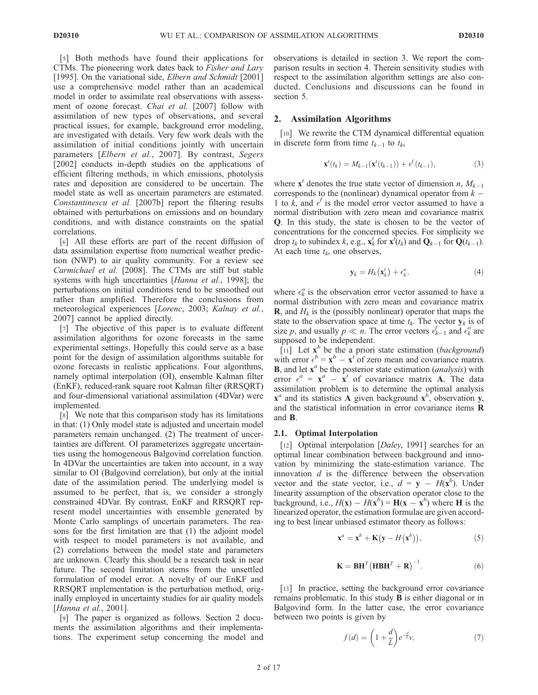[5] Both methods have found their applications for CTMs. The pioneering work dates back to Fisher and Lary [1995]. On the variational side, *Elbern and Schmidt* [2001] use a comprehensive model rather than an academical model in order to assimilate real observations with assessment of ozone forecast. Chai et al. [2007] follow with assimilation of new types of observations, and several practical issues, for example, background error modeling, are investigated with details. Very few work deals with the assimilation of initial conditions jointly with uncertain parameters [Elbern et al., 2007]. By contrast, Segers [2002] conducts in-depth studies on the applications of efficient filtering methods, in which emissions, photolysis rates and deposition are considered to be uncertain. The model state as well as uncertain parameters are estimated. Constantinescu et al. [2007b] report the filtering results obtained with perturbations on emissions and on boundary conditions, and with distance constraints on the spatial correlations.

[6] All these efforts are part of the recent diffusion of data assimilation expertise from numerical weather prediction (NWP) to air quality community. For a review see Carmichael et al. [2008]. The CTMs are stiff but stable systems with high uncertainties [Hanna et al., 1998]; the perturbations on initial conditions tend to be smoothed out rather than amplified. Therefore the conclusions from meteorological experiences [Lorenc, 2003; Kalnay et al., 2007] cannot be applied directly.

[7] The objective of this paper is to evaluate different assimilation algorithms for ozone forecasts in the same experimental settings. Hopefully this could serve as a base point for the design of assimilation algorithms suitable for ozone forecasts in realistic applications. Four algorithms, namely optimal interpolation (OI), ensemble Kalman filter (EnKF), reduced-rank square root Kalman filter (RRSQRT) and four-dimensional variational assimilation (4DVar) were implemented.

[8] We note that this comparison study has its limitations in that: (1) Only model state is adjusted and uncertain model parameters remain unchanged. (2) The treatment of uncertainties are different. OI parameterizes aggregate uncertainties using the homogeneous Balgovind correlation function. In 4DVar the uncertainties are taken into account, in a way similar to OI (Balgovind correlation), but only at the initial date of the assimilation period. The underlying model is assumed to be perfect, that is, we consider a strongly constrained 4DVar. By contrast, EnKF and RRSQRT represent model uncertainties with ensemble generated by Monte Carlo samplings of uncertain parameters. The reasons for the first limitation are that (1) the adjoint model with respect to model parameters is not available, and (2) correlations between the model state and parameters are unknown. Clearly this should be a research task in near future. The second limitation stems from the unsettled formulation of model error. A novelty of our EnKF and RRSQRT implementation is the perturbation method, originally employed in uncertainty studies for air quality models [Hanna et al., 2001].

[9] The paper is organized as follows. Section 2 documents the assimilation algorithms and their implementations. The experiment setup concerning the model and

observations is detailed in section 3. We report the comparison results in section 4. Therein sensitivity studies with respect to the assimilation algorithm settings are also conducted. Conclusions and discussions can be found in section 5.

## 2. Assimilation Algorithms

[10] We rewrite the CTM dynamical differential equation in discrete form from time  $t_{k-1}$  to  $t_k$ ,

$$
\mathbf{x}^{t}(t_{k}) = M_{k-1}(\mathbf{x}^{t}(t_{k-1})) + e^{f}(t_{k-1}),
$$
\n(3)

where  $\mathbf{x}^t$  denotes the true state vector of dimension n,  $M_{k-1}$ corresponds to the (nonlinear) dynamical operator from  $k -$ 1 to  $\vec{k}$ , and  $\vec{e}$  is the model error vector assumed to have a normal distribution with zero mean and covariance matrix Q. In this study, the state is chosen to be the vector of concentrations for the concerned species. For simplicity we drop  $t_k$  to subindex  $k$ , e.g.,  $\mathbf{x}_k^t$  for  $\mathbf{x}^t(t_k)$  and  $\mathbf{Q}_{k-1}$  for  $\mathbf{Q}(t_{k-1})$ . At each time  $t_k$ , one observes,

$$
\mathbf{y}_k = H_k(\mathbf{x}_k^t) + \epsilon_k^o,\tag{4}
$$

where  $\epsilon_k^o$  is the observation error vector assumed to have a normal distribution with zero mean and covariance matrix **R**, and  $H_k$  is the (possibly nonlinear) operator that maps the state to the observation space at time  $t_k$ . The vector  $y_k$  is of size p, and usually  $p \ll n$ . The error vectors  $\epsilon_{k-1}^f$  and  $\epsilon_k^o$  are supposed to be independent.

[11] Let  $\mathbf{x}^b$  be the a priori state estimation (background) with error  $\epsilon^b = \mathbf{x}^b - \mathbf{x}^t$  of zero mean and covariance matrix **B**, and let  $\mathbf{x}^a$  be the posterior state estimation (*analysis*) with error  $\epsilon^a = \mathbf{x}^a - \mathbf{x}^t$  of covariance matrix **A**. The data assimilation problem is to determine the optimal analysis  $\mathbf{x}^a$  and its statistics A given background  $\mathbf{x}^b$ , observation y, and the statistical information in error covariance items R and B.

#### 2.1. Optimal Interpolation

[12] Optimal interpolation [Daley, 1991] searches for an optimal linear combination between background and innovation by minimizing the state-estimation variance. The innovation  $d$  is the difference between the observation vector and the state vector, i.e.,  $d = y - H(x^b)$ . Under linearity assumption of the observation operator close to the background, i.e.,  $H(\mathbf{x}) - H(\mathbf{x}^b) = \mathbf{H}(\mathbf{x} - \mathbf{x}^b)$  where **H** is the linearized operator, the estimation formulae are given according to best linear unbiased estimator theory as follows:

$$
\mathbf{x}^a = \mathbf{x}^b + \mathbf{K}(\mathbf{y} - H(\mathbf{x}^b)),\tag{5}
$$

$$
\mathbf{K} = \mathbf{B} \mathbf{H}^T \left( \mathbf{H} \mathbf{B} \mathbf{H}^T + \mathbf{R} \right)^{-1} . \tag{6}
$$

[13] In practice, setting the background error covariance remains problematic. In this study B is either diagonal or in Balgovind form. In the latter case, the error covariance between two points is given by

$$
f(d) = \left(1 + \frac{d}{L}\right)e^{-\frac{d}{L}}v,\tag{7}
$$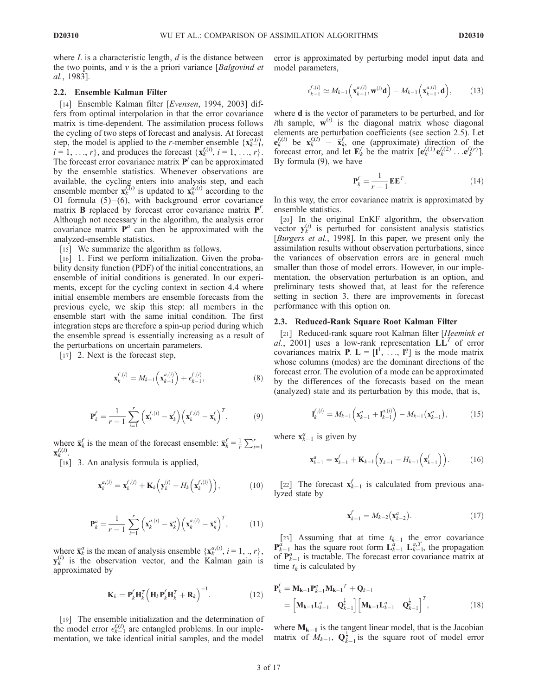where  $L$  is a characteristic length,  $d$  is the distance between the two points, and  $v$  is the a priori variance [Balgovind et al., 1983].

## 2.2. Ensemble Kalman Filter

[14] Ensemble Kalman filter [*Evensen*, 1994, 2003] differs from optimal interpolation in that the error covariance matrix is time-dependent. The assimilation process follows the cycling of two steps of forecast and analysis. At forecast step, the model is applied to the *r*-member ensemble  $\{x_{k-1}^{a,(i)}\}$ ,  $i = 1, ..., r$ , and produces the forecast  $\{x_k^{f,(i)}, i = 1, ..., r\}$ . The forecast error covariance matrix  $P^f$  can be approximated by the ensemble statistics. Whenever observations are available, the cycling enters into analysis step, and each ensemble member  $\mathbf{x}_{k}^{f(\hat{i})}$  is updated to  $\mathbf{x}_{k}^{a}(i)$  according to the OI formula  $(5)$ - $(6)$ , with background error covariance matrix **B** replaced by forecast error covariance matrix  $P'$ . Although not necessary in the algorithm, the analysis error covariance matrix  $P^a$  can then be approximated with the analyzed-ensemble statistics.

[15] We summarize the algorithm as follows.

[16] 1. First we perform initialization. Given the probability density function (PDF) of the initial concentrations, an ensemble of initial conditions is generated. In our experiments, except for the cycling context in section 4.4 where initial ensemble members are ensemble forecasts from the previous cycle, we skip this step: all members in the ensemble start with the same initial condition. The first integration steps are therefore a spin-up period during which the ensemble spread is essentially increasing as a result of the perturbations on uncertain parameters.

[17] 2. Next is the forecast step,

$$
\mathbf{x}_{k}^{f,(i)} = M_{k-1} \left( \mathbf{x}_{k-1}^{a,(i)} \right) + \epsilon_{k-1}^{f,(i)}, \tag{8}
$$

$$
\mathbf{P}_k^f = \frac{1}{r-1} \sum_{i=1}^r \left( \mathbf{x}_k^{f,(i)} - \bar{\mathbf{x}}_k^f \right) \left( \mathbf{x}_k^{f,(i)} - \bar{\mathbf{x}}_k^f \right)^T, \tag{9}
$$

where  $\bar{\mathbf{x}}_k^f$  is the mean of the forecast ensemble:  $\bar{\mathbf{x}}_k^f = \frac{1}{r} \sum_{i=1}^r$  $\mathbf{x}_{k}^{f,(i)}$ .

[18] 3. An analysis formula is applied,

$$
\mathbf{x}_{k}^{a,(i)} = \mathbf{x}_{k}^{f,(i)} + \mathbf{K}_{k} \left( \mathbf{y}_{k}^{(i)} - H_{k} \left( \mathbf{x}_{k}^{f,(i)} \right) \right), \tag{10}
$$

$$
\mathbf{P}_k^a = \frac{1}{r-1} \sum_{i=1}^r \left( \mathbf{x}_k^{a,(i)} - \bar{\mathbf{x}}_k^a \right) \left( \mathbf{x}_k^{a,(i)} - \bar{\mathbf{x}}_k^a \right)^T, \tag{11}
$$

where  $\bar{\mathbf{x}}_k^a$  is the mean of analysis ensemble  $\{\mathbf{x}_k^{a,(i)}, i = 1, \dots, r\},\$  $\mathbf{y}_k^{(i)}$  is the observation vector, and the Kalman gain is approximated by

$$
\mathbf{K}_k = \mathbf{P}_k^f \mathbf{H}_k^T \left( \mathbf{H}_k \mathbf{P}_k^f \mathbf{H}_k^T + \mathbf{R}_k \right)^{-1} . \tag{12}
$$

[19] The ensemble initialization and the determination of the model error  $e_{k-1}^{f,(i)}$  are entangled problems. In our implementation, we take identical initial samples, and the model error is approximated by perturbing model input data and model parameters,

$$
\epsilon_{k-1}^{f,(i)} \simeq M_{k-1}\left(\mathbf{x}_{k-1}^{a,(i)}, \mathbf{w}^{(i)}\mathbf{d}\right) - M_{k-1}\left(\mathbf{x}_{k-1}^{a,(i)}, \mathbf{d}\right),\tag{13}
$$

where **d** is the vector of parameters to be perturbed, and for *i*th sample,  $w^{(i)}$  is the diagonal matrix whose diagonal elements are perturbation coefficients (see section 2.5). Let  $\mathbf{e}_k^{f,(i)}$  be  $\mathbf{x}_k^{f,(i)} - \bar{\mathbf{x}}_k^f$ , one (approximate) direction of the forecast error, and let  $\mathbf{E}_k^f$  be the matrix  $[\mathbf{e}_k^{f,(1)}\mathbf{e}_k^{f,(2)} \dots \mathbf{e}_k^{f,(r)}]$ . By formula (9), we have

$$
\mathbf{P}_k^f = \frac{1}{r-1} \mathbf{E} \mathbf{E}^T.
$$
 (14)

In this way, the error covariance matrix is approximated by ensemble statistics.

[20] In the original EnKF algorithm, the observation vector  $y_k^{(i)}$  is perturbed for consistent analysis statistics [Burgers et al., 1998]. In this paper, we present only the assimilation results without observation perturbations, since the variances of observation errors are in general much smaller than those of model errors. However, in our implementation, the observation perturbation is an option, and preliminary tests showed that, at least for the reference setting in section 3, there are improvements in forecast performance with this option on.

# 2.3. Reduced-Rank Square Root Kalman Filter

[21] Reduced-rank square root Kalman filter [Heemink et al., 2001] uses a low-rank representation  $\mathbf{LL}^T$  of error covariances matrix **P**.  $\mathbf{L} = [\mathbf{l}^1, \dots, \mathbf{l}^q]$  is the mode matrix whose columns (modes) are the dominant directions of the forecast error. The evolution of a mode can be approximated by the differences of the forecasts based on the mean (analyzed) state and its perturbation by this mode, that is,

$$
\mathbf{I}_{k}^{f,(i)} = M_{k-1} \left( \mathbf{x}_{k-1}^{a} + \mathbf{I}_{k-1}^{a,(i)} \right) - M_{k-1} \left( \mathbf{x}_{k-1}^{a} \right), \tag{15}
$$

where  $\mathbf{x}_{k-1}^a$  is given by

$$
\mathbf{x}_{k-1}^a = \mathbf{x}_{k-1}^f + \mathbf{K}_{k-1} \left( \mathbf{y}_{k-1} - H_{k-1} \left( \mathbf{x}_{k-1}^f \right) \right). \tag{16}
$$

[22] The forecast  $\mathbf{x}_{k-1}^f$  is calculated from previous analyzed state by

$$
\mathbf{x}_{k-1}^f = M_{k-2}(\mathbf{x}_{k-2}^a). \tag{17}
$$

[23] Assuming that at time  $t_{k-1}$  the error covariance  $\mathbf{P}_{k-1}^{\bar{a}}$  has the square root form  $\mathbf{L}_{k-1}^{\bar{a}}$   $\mathbf{L}_{k-1}^{a,T}$ , the propagation of  $P_{k-1}^a$  is tractable. The forecast error covariance matrix at time  $t_k$  is calculated by

$$
\mathbf{P}_{k}^{f} = \mathbf{M}_{k-1} \mathbf{P}_{k-1}^{a} \mathbf{M}_{k-1}^{T} + \mathbf{Q}_{k-1} \n= \begin{bmatrix} \mathbf{M}_{k-1} \mathbf{L}_{k-1}^{a} & \mathbf{Q}_{k-1}^{1} \end{bmatrix} \begin{bmatrix} \mathbf{M}_{k-1} \mathbf{L}_{k-1}^{a} & \mathbf{Q}_{k-1}^{1} \end{bmatrix}^{T},
$$
\n(18)

where  $M_{k-1}$  is the tangent linear model, that is the Jacobian matrix of  $M_{k-1}$ ,  $\mathbf{Q}_{k-1}^{\frac{1}{2}}$  $\frac{1}{2}$  is the square root of model error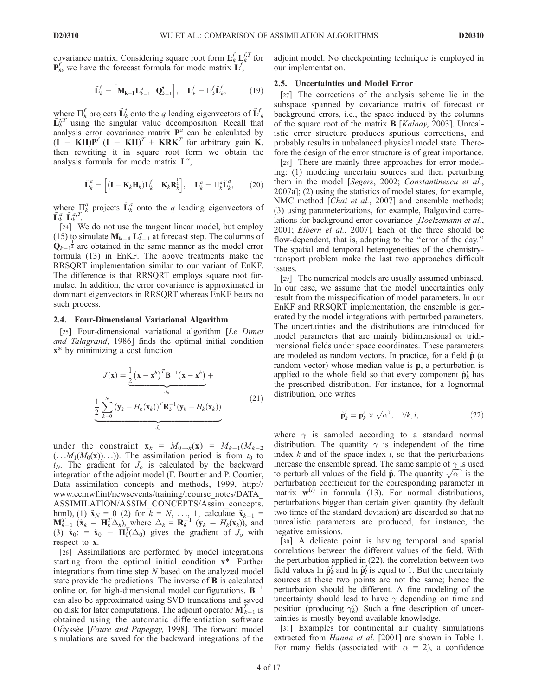covariance matrix. Considering square root form  $\mathbf{L}_k^f \mathbf{L}_k^{f,T}$  for  $\mathbf{P}_k^f$ , we have the forecast formula for mode matrix  $\mathbf{L}^f$ ,

$$
\tilde{\mathbf{L}}_k^f = \begin{bmatrix} \mathbf{M}_{k-1} \mathbf{L}_{k-1}^a & \mathbf{Q}_{k-1}^{\frac{1}{2}} \end{bmatrix}, \quad \mathbf{L}_k^f = \Pi_k^f \tilde{\mathbf{L}}_k^f, \tag{19}
$$

where  $\Pi_k^f$  projects  $\tilde{\mathbf{L}}_k^f$  onto the q leading eigenvectors of  $\tilde{\mathbf{L}}_k^f$  $\tilde{L}_{k}^{LT}$  using the singular value decomposition. Recall that analysis error covariance matrix  $P^a$  can be calculated by  $(\mathbf{I} - \mathbf{K} \mathbf{H})\mathbf{P}^f$   $(\mathbf{I} - \mathbf{K} \mathbf{H})^T$  +  $\mathbf{K} \mathbf{R} \mathbf{K}^T$  for arbitrary gain  $\mathbf{K}$ , then rewriting it in square root form we obtain the analysis formula for mode matrix  $L^a$ ,

$$
\tilde{\mathbf{L}}_k^a = \left[ (\mathbf{I} - \mathbf{K}_k \mathbf{H}_k) \mathbf{L}_k^f \quad \mathbf{K}_k \mathbf{R}_k^{\frac{1}{2}} \right], \quad \mathbf{L}_k^a = \Pi_k^a \tilde{\mathbf{L}}_k^a, \tag{20}
$$

where  $\prod_{k=1}^{a}$  projects  $\tilde{\mathbf{L}}_k^a$  onto the q leading eigenvectors of  $\tilde{\mathbf{L}}_k^a \tilde{\mathbf{L}}_k^{a,T}$ .

[24] We do not use the tangent linear model, but employ (15) to simulate  $M_{k-1} L_{k-1}^a$  at forecast step. The columns of  $Q_{k-1}^{\frac{1}{2}}$  are obtained in the same manner as the model error formula (13) in EnKF. The above treatments make the RRSQRT implementation similar to our variant of EnKF. The difference is that RRSQRT employs square root formulae. In addition, the error covariance is approximated in dominant eigenvectors in RRSQRT whereas EnKF bears no such process.

#### 2.4. Four-Dimensional Variational Algorithm

[25] Four-dimensional variational algorithm [Le Dimet] and Talagrand, 1986] finds the optimal initial condition x\* by minimizing a cost function

$$
J(\mathbf{x}) = \underbrace{\frac{1}{2} (\mathbf{x} - \mathbf{x}^b)^T \mathbf{B}^{-1} (\mathbf{x} - \mathbf{x}^b)}_{J_b} +
$$
  

$$
\underbrace{\frac{1}{2} \sum_{k=0}^{N} (\mathbf{y}_k - H_k(\mathbf{x}_k))^T \mathbf{R}_k^{-1} (\mathbf{y}_k - H_k(\mathbf{x}_k))}{J_o}
$$
(21)

under the constraint  $\mathbf{x}_k = M_{0 \to k}(\mathbf{x}) = M_{k-1}(M_{k-2})$  $(\ldots M_1(M_0(\mathbf{x}))\ldots)$ . The assimilation period is from  $t_0$  to  $t_N$ . The gradient for  $J_0$  is calculated by the backward integration of the adjoint model (F. Bouttier and P. Courtier, Data assimilation concepts and methods, 1999, http:// www.ecmwf.int/newsevents/training/rcourse\_notes/DATA\_ ASSIMILATION/ASSIM\_CONCEPTS/Assim\_concepts. html), (1)  $\tilde{\mathbf{x}}_N = 0$  (2) for  $\bar{k} = N, ..., 1$ , calculate  $\tilde{\mathbf{x}}_{k-1} =$  $\mathbf{M}_{k-1}^T(\mathbf{x}_k - \mathbf{H}_k^T \Delta_k)$ , where  $\Delta_k = \mathbf{R}_k^{-1}(\mathbf{y}_k - H_k(\mathbf{x}_k))$ , and (3)  $\tilde{\mathbf{x}}_0$ : =  $\tilde{\mathbf{x}}_0$  -  $\mathbf{H}_0^T(\Delta_0)$  gives the gradient of  $J_o$  with respect to x.

[26] Assimilations are performed by model integrations starting from the optimal initial condition x\*. Further integrations from time step N based on the analyzed model state provide the predictions. The inverse of B is calculated online or, for high-dimensional model configurations,  $B^{-1}$ can also be approximated using SVD truncations and saved on disk for later computations. The adjoint operator  $\mathbf{M}_{k-1}^T$  is obtained using the automatic differentiation software Odyssée [Faure and Papegay, 1998]. The forward model simulations are saved for the backward integrations of the adjoint model. No checkpointing technique is employed in our implementation.

#### 2.5. Uncertainties and Model Error

[27] The corrections of the analysis scheme lie in the subspace spanned by covariance matrix of forecast or background errors, i.e., the space induced by the columns of the square root of the matrix B [Kalnay, 2003]. Unrealistic error structure produces spurious corrections, and probably results in unbalanced physical model state. Therefore the design of the error structure is of great importance.

[28] There are mainly three approaches for error modeling: (1) modeling uncertain sources and then perturbing them in the model [Segers, 2002; Constantinescu et al., 2007a]; (2) using the statistics of model states, for example, NMC method [*Chai et al.*, 2007] and ensemble methods; (3) using parameterizations, for example, Balgovind correlations for background error covariance [Hoelzemann et al., 2001; Elbern et al., 2007]. Each of the three should be flow-dependent, that is, adapting to the "error of the day." The spatial and temporal heterogeneities of the chemistrytransport problem make the last two approaches difficult issues.

[29] The numerical models are usually assumed unbiased. In our case, we assume that the model uncertainties only result from the misspecification of model parameters. In our EnKF and RRSQRT implementation, the ensemble is generated by the model integrations with perturbed parameters. The uncertainties and the distributions are introduced for model parameters that are mainly bidimensional or tridimensional fields under space coordinates. These parameters are modeled as random vectors. In practice, for a field  $\hat{\bf p}$  (a random vector) whose median value is p, a perturbation is applied to the whole field so that every component  $\hat{\mathbf{p}}_k^i$  has the prescribed distribution. For instance, for a lognormal distribution, one writes

$$
\hat{\mathbf{p}}_k^i = \mathbf{p}_k^i \times \sqrt{\alpha}^\gamma, \quad \forall k, i,
$$
 (22)

where  $\gamma$  is sampled according to a standard normal distribution. The quantity  $\gamma$  is independent of the time index  $k$  and of the space index  $i$ , so that the perturbations increase the ensemble spread. The same sample of  $\gamma$  is used to perturb all values of the field  $\hat{\mathbf{p}}$ . The quantity  $\sqrt{\alpha}^{\gamma}$  is the perturbation coefficient for the corresponding parameter in matrix  $\mathbf{w}^{(i)}$  in formula (13). For normal distributions, perturbations bigger than certain given quantity (by default two times of the standard deviation) are discarded so that no unrealistic parameters are produced, for instance, the negative emissions.

[30] A delicate point is having temporal and spatial correlations between the different values of the field. With the perturbation applied in (22), the correlation between two field values  $\ln \hat{\mathbf{p}}_k^i$  and  $\ln \hat{\mathbf{p}}_k^j$  is equal to 1. But the uncertainty sources at these two points are not the same; hence the perturbation should be different. A fine modeling of the uncertainty should lead to have  $\gamma$  depending on time and position (producing  $\gamma_k^i$ ). Such a fine description of uncertainties is mostly beyond available knowledge.

[31] Examples for continental air quality simulations extracted from Hanna et al. [2001] are shown in Table 1. For many fields (associated with  $\alpha = 2$ ), a confidence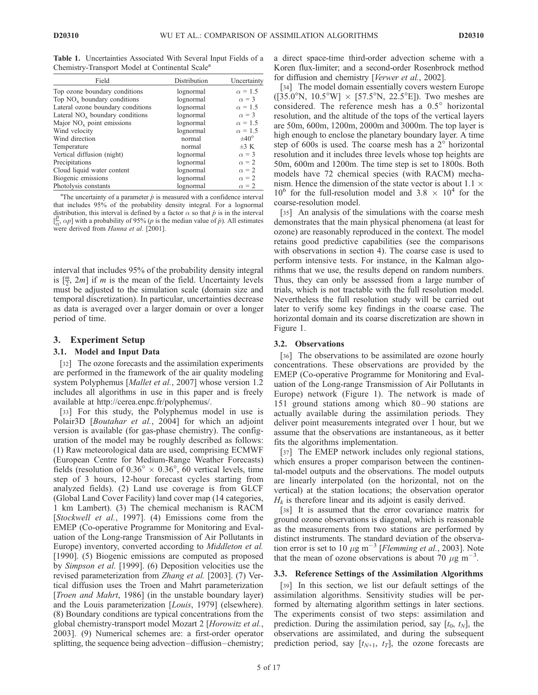Table 1. Uncertainties Associated With Several Input Fields of a Chemistry-Transport Model at Continental Scale<sup>a</sup>

| Field                             | Distribution | Uncertainty      |
|-----------------------------------|--------------|------------------|
| Top ozone boundary conditions     | lognormal    | $\alpha = 1.5$   |
| Top $NOx$ boundary conditions     | lognormal    | $\alpha = 3$     |
| Lateral ozone boundary conditions | lognormal    | $\alpha = 1.5$   |
| Lateral $NOx$ boundary conditions | lognormal    | $\alpha = 3$     |
| Major $NOx$ point emissions       | lognormal    | $\alpha = 1.5$   |
| Wind velocity                     | lognormal    | $\alpha = 1.5$   |
| Wind direction                    | normal       | $\pm 40^{\circ}$ |
| Temperature                       | normal       | $\pm 3$ K        |
| Vertical diffusion (night)        | lognormal    | $\alpha = 3$     |
| Precipitations                    | lognormal    | $\alpha = 2$     |
| Cloud liquid water content        | lognormal    | $\alpha = 2$     |
| Biogenic emissions                | lognormal    | $\alpha = 2$     |
| Photolysis constants              | lognormal    | $\alpha = 2$     |

<sup>a</sup>The uncertainty of a parameter  $\hat{p}$  is measured with a confidence interval that includes 95% of the probability density integral. For a lognormal distribution, this interval is defined by a factor  $\alpha$  so that  $\hat{p}$  is in the interval  $[\frac{p}{p}]$ ,  $\alpha p$ ] with a probability of 95% (*p* is the median value of  $\hat{p}$ ). All estimates  $\iota_{\alpha}$ ,  $\iota_{\beta}$  which a probability of 55% ( $\beta$  is distributed from *Hanna et al.* [2001].

interval that includes 95% of the probability density integral is  $\left[\frac{m}{2}, 2m\right]$  if *m* is the mean of the field. Uncertainty levels must be adjusted to the simulation scale (domain size and temporal discretization). In particular, uncertainties decrease as data is averaged over a larger domain or over a longer period of time.

#### 3. Experiment Setup

### 3.1. Model and Input Data

[32] The ozone forecasts and the assimilation experiments are performed in the framework of the air quality modeling system Polyphemus [*Mallet et al.*, 2007] whose version 1.2 includes all algorithms in use in this paper and is freely available at http://cerea.enpc.fr/polyphemus/.

[33] For this study, the Polyphemus model in use is Polair<sub>3</sub>D [*Boutahar et al., 2004*] for which an adjoint version is available (for gas-phase chemistry). The configuration of the model may be roughly described as follows: (1) Raw meteorological data are used, comprising ECMWF (European Centre for Medium-Range Weather Forecasts) fields (resolution of  $0.36^{\circ} \times 0.36^{\circ}$ , 60 vertical levels, time step of 3 hours, 12-hour forecast cycles starting from analyzed fields). (2) Land use coverage is from GLCF (Global Land Cover Facility) land cover map (14 categories, 1 km Lambert). (3) The chemical mechanism is RACM [Stockwell et al., 1997]. (4) Emissions come from the EMEP (Co-operative Programme for Monitoring and Evaluation of the Long-range Transmission of Air Pollutants in Europe) inventory, converted according to *Middleton et al.* [1990]. (5) Biogenic emissions are computed as proposed by Simpson et al. [1999]. (6) Deposition velocities use the revised parameterization from Zhang et al. [2003]. (7) Vertical diffusion uses the Troen and Mahrt parameterization [*Troen and Mahrt*, 1986] (in the unstable boundary layer) and the Louis parameterization [Louis, 1979] (elsewhere). (8) Boundary conditions are typical concentrations from the global chemistry-transport model Mozart 2 [Horowitz et al., 2003]. (9) Numerical schemes are: a first-order operator splitting, the sequence being advection–diffusion–chemistry; a direct space-time third-order advection scheme with a Koren flux-limiter; and a second-order Rosenbrock method for diffusion and chemistry [Verwer et al., 2002].

[34] The model domain essentially covers western Europe  $(35.0^{\circ}N, 10.5^{\circ}W] \times [57.5^{\circ}N, 22.5^{\circ}E]$ ). Two meshes are considered. The reference mesh has a  $0.5^{\circ}$  horizontal resolution, and the altitude of the tops of the vertical layers are 50m, 600m, 1200m, 2000m and 3000m. The top layer is high enough to enclose the planetary boundary layer. A time step of  $600s$  is used. The coarse mesh has a  $2^\circ$  horizontal resolution and it includes three levels whose top heights are 50m, 600m and 1200m. The time step is set to 1800s. Both models have 72 chemical species (with RACM) mechanism. Hence the dimension of the state vector is about 1.1  $\times$  $10^6$  for the full-resolution model and  $3.8 \times 10^4$  for the coarse-resolution model.

[35] An analysis of the simulations with the coarse mesh demonstrates that the main physical phenomena (at least for ozone) are reasonably reproduced in the context. The model retains good predictive capabilities (see the comparisons with observations in section 4). The coarse case is used to perform intensive tests. For instance, in the Kalman algorithms that we use, the results depend on random numbers. Thus, they can only be assessed from a large number of trials, which is not tractable with the full resolution model. Nevertheless the full resolution study will be carried out later to verify some key findings in the coarse case. The horizontal domain and its coarse discretization are shown in Figure 1.

#### 3.2. Observations

[36] The observations to be assimilated are ozone hourly concentrations. These observations are provided by the EMEP (Co-operative Programme for Monitoring and Evaluation of the Long-range Transmission of Air Pollutants in Europe) network (Figure 1). The network is made of 151 ground stations among which 80–90 stations are actually available during the assimilation periods. They deliver point measurements integrated over 1 hour, but we assume that the observations are instantaneous, as it better fits the algorithms implementation.

[37] The EMEP network includes only regional stations, which ensures a proper comparison between the continental-model outputs and the observations. The model outputs are linearly interpolated (on the horizontal, not on the vertical) at the station locations; the observation operator  $H_k$  is therefore linear and its adjoint is easily derived.

[38] It is assumed that the error covariance matrix for ground ozone observations is diagonal, which is reasonable as the measurements from two stations are performed by distinct instruments. The standard deviation of the observation error is set to 10  $\mu$ g m<sup>-3</sup> [*Flemming et al.*, 2003]. Note that the mean of ozone observations is about 70  $\mu$ g m<sup>-3</sup>.

#### 3.3. Reference Settings of the Assimilation Algorithms

[39] In this section, we list our default settings of the assimilation algorithms. Sensitivity studies will be performed by alternating algorithm settings in later sections. The experiments consist of two steps: assimilation and prediction. During the assimilation period, say  $[t_0, t_N]$ , the observations are assimilated, and during the subsequent prediction period, say  $[t_{N+1}, t_T]$ , the ozone forecasts are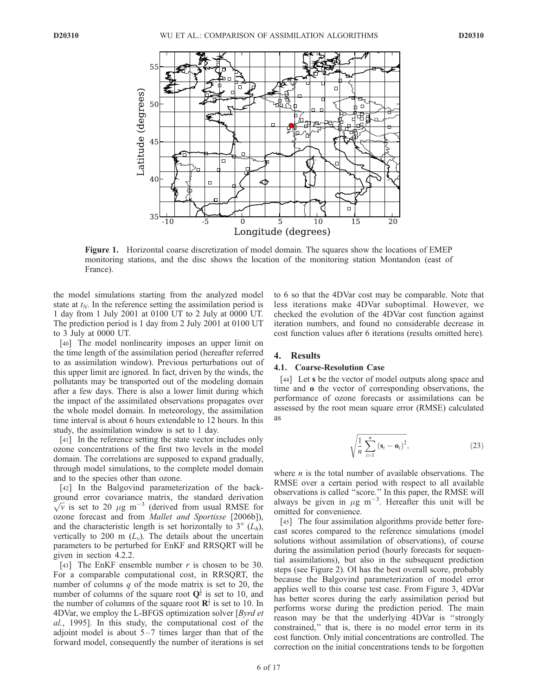

Figure 1. Horizontal coarse discretization of model domain. The squares show the locations of EMEP monitoring stations, and the disc shows the location of the monitoring station Montandon (east of France).

the model simulations starting from the analyzed model state at  $t_N$ . In the reference setting the assimilation period is 1 day from 1 July 2001 at 0100 UT to 2 July at 0000 UT. The prediction period is 1 day from 2 July 2001 at 0100 UT to 3 July at 0000 UT.

[40] The model nonlinearity imposes an upper limit on the time length of the assimilation period (hereafter referred to as assimilation window). Previous perturbations out of this upper limit are ignored. In fact, driven by the winds, the pollutants may be transported out of the modeling domain after a few days. There is also a lower limit during which the impact of the assimilated observations propagates over the whole model domain. In meteorology, the assimilation time interval is about 6 hours extendable to 12 hours. In this study, the assimilation window is set to 1 day.

[41] In the reference setting the state vector includes only ozone concentrations of the first two levels in the model domain. The correlations are supposed to expand gradually, through model simulations, to the complete model domain and to the species other than ozone.

[42] In the Balgovind parameterization of the background error covariance matrix, the standard derivation  $\sqrt{v}$  is set to 20  $\mu$ g m<sup>-3</sup> (derived from usual RMSE for ozone forecast and from Mallet and Sportisse [2006b]), and the characteristic length is set horizontally to  $3^\circ$  ( $L_h$ ), vertically to 200 m  $(L_v)$ . The details about the uncertain parameters to be perturbed for EnKF and RRSQRT will be given in section 4.2.2.

[43] The EnKF ensemble number  $r$  is chosen to be 30. For a comparable computational cost, in RRSQRT, the number of columns  $q$  of the mode matrix is set to 20, the number of columns of the square root  $\mathbf{Q}^{\frac{1}{2}}$  is set to 10, and the number of columns of the square root  $\mathbb{R}^{\frac{1}{2}}$  is set to 10. In 4DVar, we employ the L-BFGS optimization solver [*Byrd et*] al., 1995]. In this study, the computational cost of the adjoint model is about  $5-7$  times larger than that of the forward model, consequently the number of iterations is set to 6 so that the 4DVar cost may be comparable. Note that less iterations make 4DVar suboptimal. However, we checked the evolution of the 4DVar cost function against iteration numbers, and found no considerable decrease in cost function values after 6 iterations (results omitted here).

#### 4. Results

#### 4.1. Coarse-Resolution Case

[44] Let **s** be the vector of model outputs along space and time and o the vector of corresponding observations, the performance of ozone forecasts or assimilations can be assessed by the root mean square error (RMSE) calculated as

$$
\sqrt{\frac{1}{n}\sum_{i=1}^{n}\left(\mathbf{s}_{i}-\mathbf{o}_{i}\right)^{2}},\tag{23}
$$

where  $n$  is the total number of available observations. The RMSE over a certain period with respect to all available observations is called ''score.'' In this paper, the RMSE will always be given in  $\mu$ g m<sup>-3</sup>. Hereafter this unit will be omitted for convenience.

[45] The four assimilation algorithms provide better forecast scores compared to the reference simulations (model solutions without assimilation of observations), of course during the assimilation period (hourly forecasts for sequential assimilations), but also in the subsequent prediction steps (see Figure 2). OI has the best overall score, probably because the Balgovind parameterization of model error applies well to this coarse test case. From Figure 3, 4DVar has better scores during the early assimilation period but performs worse during the prediction period. The main reason may be that the underlying 4DVar is ''strongly constrained,'' that is, there is no model error term in its cost function. Only initial concentrations are controlled. The correction on the initial concentrations tends to be forgotten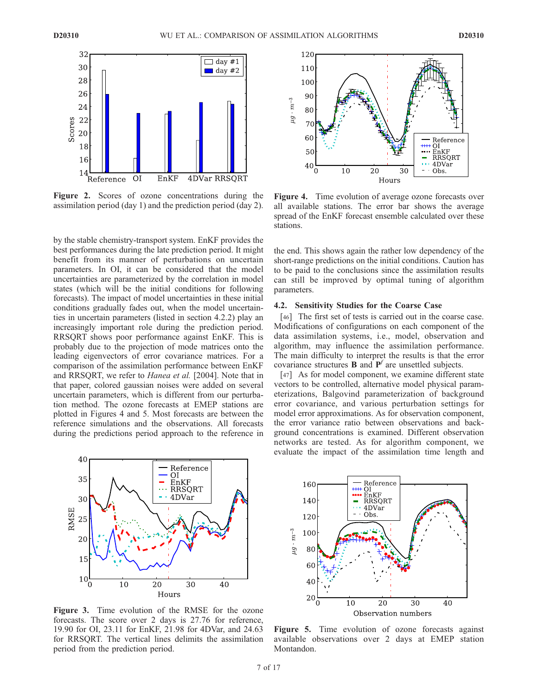

Figure 2. Scores of ozone concentrations during the assimilation period (day 1) and the prediction period (day 2).

by the stable chemistry-transport system. EnKF provides the best performances during the late prediction period. It might benefit from its manner of perturbations on uncertain parameters. In OI, it can be considered that the model uncertainties are parameterized by the correlation in model states (which will be the initial conditions for following forecasts). The impact of model uncertainties in these initial conditions gradually fades out, when the model uncertainties in uncertain parameters (listed in section 4.2.2) play an increasingly important role during the prediction period. RRSQRT shows poor performance against EnKF. This is probably due to the projection of mode matrices onto the leading eigenvectors of error covariance matrices. For a comparison of the assimilation performance between EnKF and RRSQRT, we refer to Hanea et al. [2004]. Note that in that paper, colored gaussian noises were added on several uncertain parameters, which is different from our perturbation method. The ozone forecasts at EMEP stations are plotted in Figures 4 and 5. Most forecasts are between the reference simulations and the observations. All forecasts during the predictions period approach to the reference in



Figure 3. Time evolution of the RMSE for the ozone forecasts. The score over 2 days is 27.76 for reference, 19.90 for OI, 23.11 for EnKF, 21.98 for 4DVar, and 24.63 for RRSQRT. The vertical lines delimits the assimilation period from the prediction period.



Figure 4. Time evolution of average ozone forecasts over all available stations. The error bar shows the average spread of the EnKF forecast ensemble calculated over these stations.

the end. This shows again the rather low dependency of the short-range predictions on the initial conditions. Caution has to be paid to the conclusions since the assimilation results can still be improved by optimal tuning of algorithm parameters.

# 4.2. Sensitivity Studies for the Coarse Case

[46] The first set of tests is carried out in the coarse case. Modifications of configurations on each component of the data assimilation systems, i.e., model, observation and algorithm, may influence the assimilation performance. The main difficulty to interpret the results is that the error covariance structures **B** and  $\mathbf{P}^f$  are unsettled subjects.

[47] As for model component, we examine different state vectors to be controlled, alternative model physical parameterizations, Balgovind parameterization of background error covariance, and various perturbation settings for model error approximations. As for observation component, the error variance ratio between observations and background concentrations is examined. Different observation networks are tested. As for algorithm component, we evaluate the impact of the assimilation time length and



Figure 5. Time evolution of ozone forecasts against available observations over 2 days at EMEP station Montandon.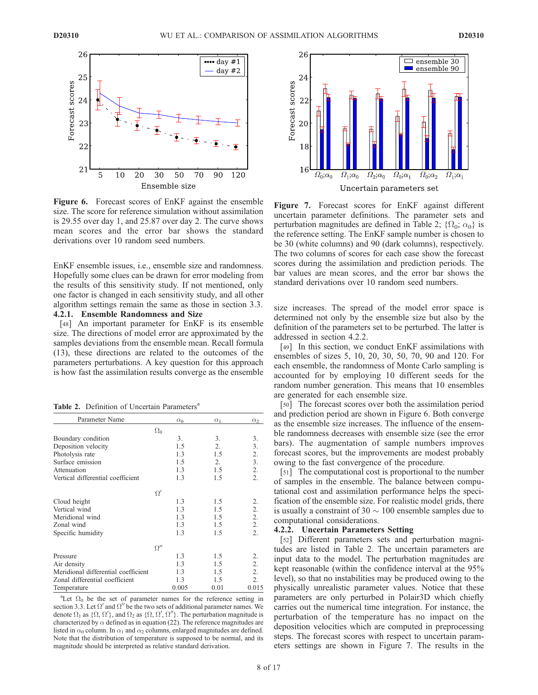

Figure 6. Forecast scores of EnKF against the ensemble size. The score for reference simulation without assimilation is 29.55 over day 1, and 25.87 over day 2. The curve shows mean scores and the error bar shows the standard derivations over 10 random seed numbers.

EnKF ensemble issues, i.e., ensemble size and randomness. Hopefully some clues can be drawn for error modeling from the results of this sensitivity study. If not mentioned, only one factor is changed in each sensitivity study, and all other algorithm settings remain the same as those in section 3.3. 4.2.1. Ensemble Randomness and Size

[48] An important parameter for EnKF is its ensemble size. The directions of model error are approximated by the samples deviations from the ensemble mean. Recall formula (13), these directions are related to the outcomes of the parameters perturbations. A key question for this approach is how fast the assimilation results converge as the ensemble

Table 2. Definition of Uncertain Parameters<sup>a</sup>

| Parameter Name                      | $\alpha_0$ | $\alpha_1$ | $\alpha_2$       |
|-------------------------------------|------------|------------|------------------|
|                                     | $\Omega_0$ |            |                  |
| Boundary condition                  | 3.         | 3.         | 3.               |
| Deposition velocity                 | 1.5        | 2.         | 3.               |
| Photolysis rate                     | 1.3        | 1.5        | 2.               |
| Surface emission                    | 1.5        | 2.         | 3.               |
| Attenuation                         | 1.3        | 1.5        | 2.               |
| Vertical differential coefficient   | 1.3        | 1.5        | 2.               |
|                                     | $\Omega'$  |            |                  |
| Cloud height                        | 1.3        | 1.5        | 2.               |
| Vertical wind                       | 1.3        | 1.5        | 2.               |
| Meridional wind                     | 1.3        | 1.5        | $\overline{2}$ . |
| Zonal wind                          | 1.3        | 1.5        | 2.               |
| Specific humidity                   | 1.3        | 1.5        | 2.               |
|                                     | $\Omega''$ |            |                  |
| Pressure                            | 1.3        | 1.5        | 2.               |
| Air density                         | 1.3        | 1.5        | 2.               |
| Meridional differential coefficient | 1.3        | 1.5        | 2.               |
| Zonal differential coefficient      | 1.3        | 1.5        | 2.               |
| Temperature                         | 0.005      | 0.01       | 0.015            |

<sup>a</sup>Let  $\Omega_0$  be the set of parameter names for the reference setting in section 3.3. Let  $\Omega'$  and  $\Omega''$  be the two sets of additional parameter names. We denote  $\Omega_1$  as  $\{\Omega, \Omega'\}$ , and  $\Omega_2$  as  $\{\Omega, \Omega', \Omega''\}$ . The perturbation magnitude is characterized by  $\alpha$  defined as in equation (22). The reference magnitudes are listed in  $\alpha_0$  column. In  $\alpha_1$  and  $\alpha_2$  columns, enlarged magnitudes are defined. Note that the distribution of temperature is supposed to be normal, and its magnitude should be interpreted as relative standard derivation.



Figure 7. Forecast scores for EnKF against different uncertain parameter definitions. The parameter sets and perturbation magnitudes are defined in Table 2;  $\{\Omega_0; \alpha_0\}$  is the reference setting. The EnKF sample number is chosen to be 30 (white columns) and 90 (dark columns), respectively. The two columns of scores for each case show the forecast scores during the assimilation and prediction periods. The bar values are mean scores, and the error bar shows the standard derivations over 10 random seed numbers.

size increases. The spread of the model error space is determined not only by the ensemble size but also by the definition of the parameters set to be perturbed. The latter is addressed in section 4.2.2.

[49] In this section, we conduct EnKF assimilations with ensembles of sizes 5, 10, 20, 30, 50, 70, 90 and 120. For each ensemble, the randomness of Monte Carlo sampling is accounted for by employing 10 different seeds for the random number generation. This means that 10 ensembles are generated for each ensemble size.

[50] The forecast scores over both the assimilation period and prediction period are shown in Figure 6. Both converge as the ensemble size increases. The influence of the ensemble randomness decreases with ensemble size (see the error bars). The augmentation of sample numbers improves forecast scores, but the improvements are modest probably owing to the fast convergence of the procedure.

[51] The computational cost is proportional to the number of samples in the ensemble. The balance between computational cost and assimilation performance helps the specification of the ensemble size. For realistic model grids, there is usually a constraint of 30  $\sim$  100 ensemble samples due to computational considerations.

#### 4.2.2. Uncertain Parameters Setting

[52] Different parameters sets and perturbation magnitudes are listed in Table 2. The uncertain parameters are input data to the model. The perturbation magnitudes are kept reasonable (within the confidence interval at the 95% level), so that no instabilities may be produced owing to the physically unrealistic parameter values. Notice that these parameters are only perturbed in Polair3D which chiefly carries out the numerical time integration. For instance, the perturbation of the temperature has no impact on the deposition velocities which are computed in preprocessing steps. The forecast scores with respect to uncertain parameters settings are shown in Figure 7. The results in the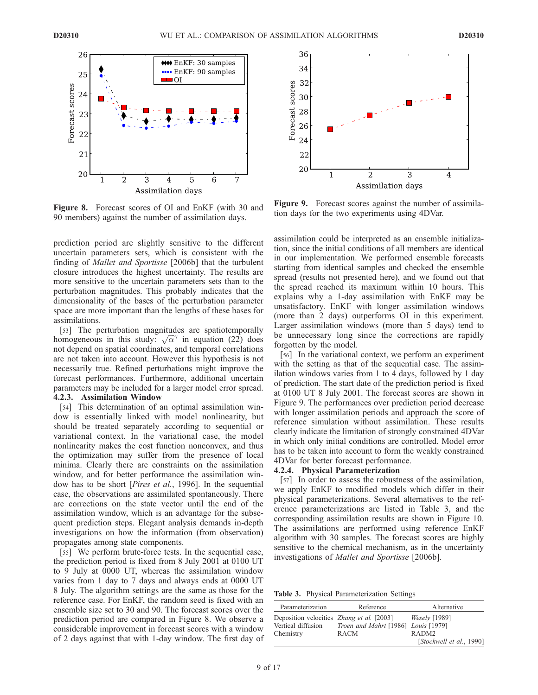

Figure 8. Forecast scores of OI and EnKF (with 30 and 90 members) against the number of assimilation days.

prediction period are slightly sensitive to the different uncertain parameters sets, which is consistent with the finding of *Mallet and Sportisse* [2006b] that the turbulent closure introduces the highest uncertainty. The results are more sensitive to the uncertain parameters sets than to the perturbation magnitudes. This probably indicates that the dimensionality of the bases of the perturbation parameter space are more important than the lengths of these bases for assimilations.

[53] The perturbation magnitudes are spatiotemporally homogeneous in this study:  $\sqrt{\alpha}^{\gamma}$  in equation (22) does not depend on spatial coordinates, and temporal correlations are not taken into account. However this hypothesis is not necessarily true. Refined perturbations might improve the forecast performances. Furthermore, additional uncertain parameters may be included for a larger model error spread. 4.2.3. Assimilation Window

[54] This determination of an optimal assimilation window is essentially linked with model nonlinearity, but should be treated separately according to sequential or variational context. In the variational case, the model nonlinearity makes the cost function nonconvex, and thus the optimization may suffer from the presence of local minima. Clearly there are constraints on the assimilation window, and for better performance the assimilation window has to be short [Pires et al., 1996]. In the sequential case, the observations are assimilated spontaneously. There are corrections on the state vector until the end of the assimilation window, which is an advantage for the subsequent prediction steps. Elegant analysis demands in-depth investigations on how the information (from observation) propagates among state components.

[55] We perform brute-force tests. In the sequential case, the prediction period is fixed from 8 July 2001 at 0100 UT to 9 July at 0000 UT, whereas the assimilation window varies from 1 day to 7 days and always ends at 0000 UT 8 July. The algorithm settings are the same as those for the reference case. For EnKF, the random seed is fixed with an ensemble size set to 30 and 90. The forecast scores over the prediction period are compared in Figure 8. We observe a considerable improvement in forecast scores with a window of 2 days against that with 1-day window. The first day of



Figure 9. Forecast scores against the number of assimilation days for the two experiments using 4DVar.

assimilation could be interpreted as an ensemble initialization, since the initial conditions of all members are identical in our implementation. We performed ensemble forecasts starting from identical samples and checked the ensemble spread (results not presented here), and we found out that the spread reached its maximum within 10 hours. This explains why a 1-day assimilation with EnKF may be unsatisfactory. EnKF with longer assimilation windows (more than 2 days) outperforms OI in this experiment. Larger assimilation windows (more than 5 days) tend to be unnecessary long since the corrections are rapidly forgotten by the model.

[56] In the variational context, we perform an experiment with the setting as that of the sequential case. The assimilation windows varies from 1 to 4 days, followed by 1 day of prediction. The start date of the prediction period is fixed at 0100 UT 8 July 2001. The forecast scores are shown in Figure 9. The performances over prediction period decrease with longer assimilation periods and approach the score of reference simulation without assimilation. These results clearly indicate the limitation of strongly constrained 4DVar in which only initial conditions are controlled. Model error has to be taken into account to form the weakly constrained 4DVar for better forecast performance.

#### 4.2.4. Physical Parameterization

[57] In order to assess the robustness of the assimilation, we apply EnKF to modified models which differ in their physical parameterizations. Several alternatives to the reference parameterizations are listed in Table 3, and the corresponding assimilation results are shown in Figure 10. The assimilations are performed using reference EnKF algorithm with 30 samples. The forecast scores are highly sensitive to the chemical mechanism, as in the uncertainty investigations of Mallet and Sportisse [2006b].

Table 3. Physical Parameterization Settings

| Parameterization                                                       | Reference                           | Alternative              |
|------------------------------------------------------------------------|-------------------------------------|--------------------------|
| Deposition velocities <i>Zhang et al.</i> [2003]<br>Vertical diffusion | Troen and Mahrt [1986] Louis [1979] | <i>Weselv</i> [1989]     |
| Chemistry                                                              | <b>RACM</b>                         | RADM <sub>2</sub>        |
|                                                                        |                                     | [Stockwell et al., 1990] |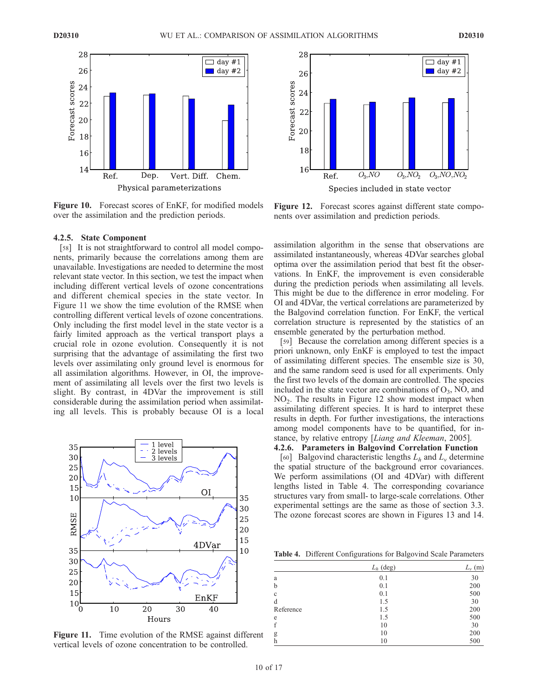

Figure 10. Forecast scores of EnKF, for modified models over the assimilation and the prediction periods.

#### 4.2.5. State Component

[58] It is not straightforward to control all model components, primarily because the correlations among them are unavailable. Investigations are needed to determine the most relevant state vector. In this section, we test the impact when including different vertical levels of ozone concentrations and different chemical species in the state vector. In Figure 11 we show the time evolution of the RMSE when controlling different vertical levels of ozone concentrations. Only including the first model level in the state vector is a fairly limited approach as the vertical transport plays a crucial role in ozone evolution. Consequently it is not surprising that the advantage of assimilating the first two levels over assimilating only ground level is enormous for all assimilation algorithms. However, in OI, the improvement of assimilating all levels over the first two levels is slight. By contrast, in 4DVar the improvement is still considerable during the assimilation period when assimilating all levels. This is probably because OI is a local



Figure 11. Time evolution of the RMSE against different vertical levels of ozone concentration to be controlled.



Figure 12. Forecast scores against different state components over assimilation and prediction periods.

assimilation algorithm in the sense that observations are assimilated instantaneously, whereas 4DVar searches global optima over the assimilation period that best fit the observations. In EnKF, the improvement is even considerable during the prediction periods when assimilating all levels. This might be due to the difference in error modeling. For OI and 4DVar, the vertical correlations are parameterized by the Balgovind correlation function. For EnKF, the vertical correlation structure is represented by the statistics of an ensemble generated by the perturbation method.

[59] Because the correlation among different species is a priori unknown, only EnKF is employed to test the impact of assimilating different species. The ensemble size is 30, and the same random seed is used for all experiments. Only the first two levels of the domain are controlled. The species included in the state vector are combinations of  $O_3$ , NO, and NO<sup>2</sup> . The results in Figure 12 show modest impact when assimilating different species. It is hard to interpret these results in depth. For further investigations, the interactions among model components have to be quantified, for instance, by relative entropy [Liang and Kleeman, 2005].

4.2.6. Parameters in Balgovind Correlation Function

[60] Balgovind characteristic lengths  $L_h$  and  $L_v$  determine the spatial structure of the background error covariances. We perform assimilations (OI and 4DVar) with different lengths listed in Table 4. The corresponding covariance structures vary from small- to large-scale correlations. Other experimental settings are the same as those of section 3.3. The ozone forecast scores are shown in Figures 13 and 14.

Table 4. Different Configurations for Balgovind Scale Parameters

|              | $L_h$ (deg) | $L_v$ (m) |  |
|--------------|-------------|-----------|--|
| a            | 0.1         | 30        |  |
| $\mathbf b$  | 0.1         | 200       |  |
| $\mathbf{c}$ | 0.1         | 500       |  |
| d            | 1.5         | 30        |  |
| Reference    | 1.5         | 200       |  |
| e            | 1.5         | 500       |  |
| f            | 10          | 30        |  |
| g            | 10          | 200       |  |
| $\mathbf h$  | 10          | 500       |  |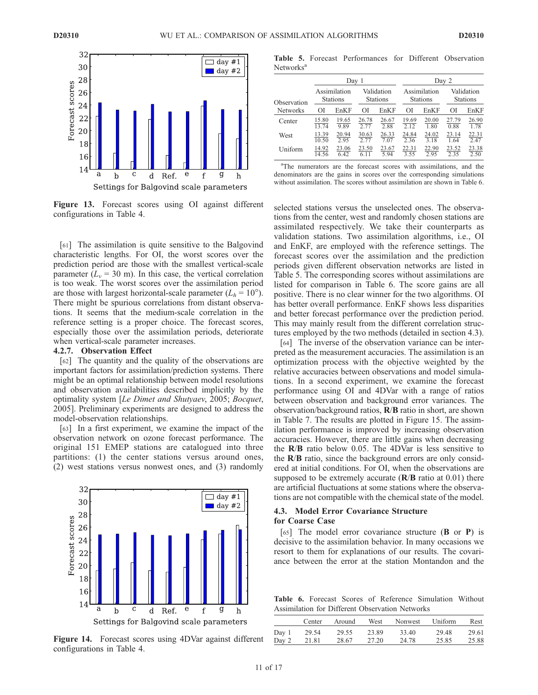

Figure 13. Forecast scores using OI against different configurations in Table 4.

[61] The assimilation is quite sensitive to the Balgovind characteristic lengths. For OI, the worst scores over the prediction period are those with the smallest vertical-scale parameter ( $L<sub>v</sub>$  = 30 m). In this case, the vertical correlation is too weak. The worst scores over the assimilation period are those with largest horizontal-scale parameter  $(L_h = 10^{\circ})$ . There might be spurious correlations from distant observations. It seems that the medium-scale correlation in the reference setting is a proper choice. The forecast scores, especially those over the assimilation periods, deteriorate when vertical-scale parameter increases.

#### 4.2.7. Observation Effect

[62] The quantity and the quality of the observations are important factors for assimilation/prediction systems. There might be an optimal relationship between model resolutions and observation availabilities described implicitly by the optimality system [Le Dimet and Shutyaev, 2005; Bocquet, 2005]. Preliminary experiments are designed to address the model-observation relationships.

[63] In a first experiment, we examine the impact of the observation network on ozone forecast performance. The original 151 EMEP stations are catalogued into three partitions: (1) the center stations versus around ones, (2) west stations versus nonwest ones, and (3) randomly



Figure 14. Forecast scores using 4DVar against different configurations in Table 4.

Table 5. Forecast Performances for Different Observation Networks<sup>a</sup>

|                 |                                 | Day 1         |                               |               |                                 | Day 2         |                               |                      |  |
|-----------------|---------------------------------|---------------|-------------------------------|---------------|---------------------------------|---------------|-------------------------------|----------------------|--|
| Observation     | Assimilation<br><b>Stations</b> |               | Validation<br><b>Stations</b> |               | Assimilation<br><b>Stations</b> |               | Validation<br><b>Stations</b> |                      |  |
| <b>Networks</b> | ОI                              | EnKF          | ΟI                            | EnKF          | ΟI                              | EnKF          | ΟI                            | EnKF                 |  |
| Center          | 15.80<br>13.74                  | 19.65<br>9.89 | 26.78<br>2.77                 | 26.67<br>2.88 | 19.69<br>2.12                   | 20.00<br>1.80 | 27.79<br>0.88                 | $\frac{26.90}{1.78}$ |  |
| West            | 13.39<br>10.50                  | 20.94<br>2.95 | 30.63<br>2.77                 | 26.33<br>7.07 | 24.84<br>2.36                   | 24.02<br>3.18 | 23.14<br>1.64                 | $\frac{22.31}{2.47}$ |  |
| Uniform         | 14.92<br>14.56                  | 23.06<br>6.42 | 23.50<br>6.11                 | 23.67<br>5.94 | $\frac{22.31}{3.55}$            | 22.90<br>2.95 | $\frac{23.52}{2.35}$          | $\frac{23.38}{2.50}$ |  |

<sup>a</sup>The numerators are the forecast scores with assimilations, and the denominators are the gains in scores over the corresponding simulations without assimilation. The scores without assimilation are shown in Table 6.

selected stations versus the unselected ones. The observations from the center, west and randomly chosen stations are assimilated respectively. We take their counterparts as validation stations. Two assimilation algorithms, i.e., OI and EnKF, are employed with the reference settings. The forecast scores over the assimilation and the prediction periods given different observation networks are listed in Table 5. The corresponding scores without assimilations are listed for comparison in Table 6. The score gains are all positive. There is no clear winner for the two algorithms. OI has better overall performance. EnKF shows less disparities and better forecast performance over the prediction period. This may mainly result from the different correlation structures employed by the two methods (detailed in section 4.3).

[64] The inverse of the observation variance can be interpreted as the measurement accuracies. The assimilation is an optimization process with the objective weighted by the relative accuracies between observations and model simulations. In a second experiment, we examine the forecast performance using OI and 4DVar with a range of ratios between observation and background error variances. The observation/background ratios, R/B ratio in short, are shown in Table 7. The results are plotted in Figure 15. The assimilation performance is improved by increasing observation accuracies. However, there are little gains when decreasing the R/B ratio below 0.05. The 4DVar is less sensitive to the R/B ratio, since the background errors are only considered at initial conditions. For OI, when the observations are supposed to be extremely accurate  $(R/B \text{ ratio at } 0.01)$  there are artificial fluctuations at some stations where the observations are not compatible with the chemical state of the model.

## 4.3. Model Error Covariance Structure for Coarse Case

[65] The model error covariance structure  $(B \text{ or } P)$  is decisive to the assimilation behavior. In many occasions we resort to them for explanations of our results. The covariance between the error at the station Montandon and the

Table 6. Forecast Scores of Reference Simulation Without Assimilation for Different Observation Networks

|             | Center | Around | West  | Nonwest Uniform |       | Rest  |
|-------------|--------|--------|-------|-----------------|-------|-------|
| Day 1       | 29.54  | 29.55  | 23.89 | 33.40           | 29.48 | 29.61 |
| Day 2 21.81 |        | 28.67  | 27.20 | 24.78           | 25.85 | 25.88 |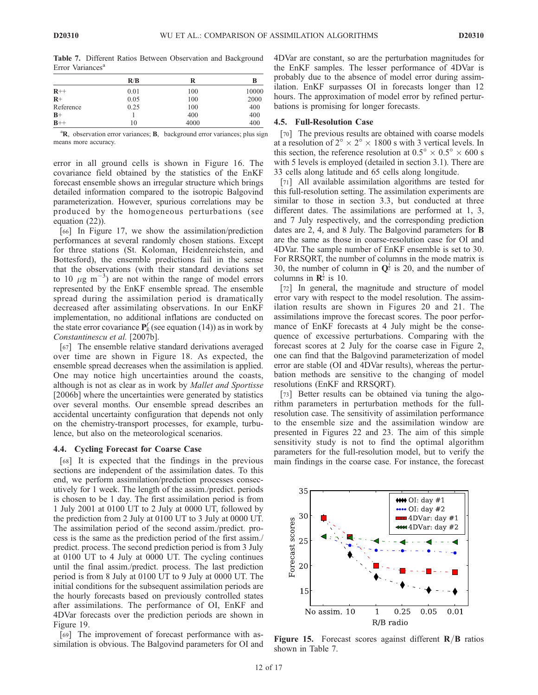Table 7. Different Ratios Between Observation and Background Error Variances<sup>a</sup>

|           | R/B  | R    | в     |
|-----------|------|------|-------|
| $R++$     | 0.01 | 100  | 10000 |
| $R+$      | 0.05 | 100  | 2000  |
| Reference | 0.25 | 100  | 400   |
| $B+$      |      | 400  | 400   |
| $B++$     | 10   | 4000 | 400   |

<sup>a</sup>R, observation error variances; B, background error variances; plus sign means more accuracy.

error in all ground cells is shown in Figure 16. The covariance field obtained by the statistics of the EnKF forecast ensemble shows an irregular structure which brings detailed information compared to the isotropic Balgovind parameterization. However, spurious correlations may be produced by the homogeneous perturbations (see equation (22)).

[66] In Figure 17, we show the assimilation/prediction performances at several randomly chosen stations. Except for three stations (St. Koloman, Heidenreichstein, and Bottesford), the ensemble predictions fail in the sense that the observations (with their standard deviations set to 10  $\mu$ g m<sup>-3</sup>) are not within the range of model errors represented by the EnKF ensemble spread. The ensemble spread during the assimilation period is dramatically decreased after assimilating observations. In our EnKF implementation, no additional inflations are conducted on the state error covariance  $P_k^f$  (see equation (14)) as in work by Constantinescu et al. [2007b].

[67] The ensemble relative standard derivations averaged over time are shown in Figure 18. As expected, the ensemble spread decreases when the assimilation is applied. One may notice high uncertainties around the coasts, although is not as clear as in work by Mallet and Sportisse [2006b] where the uncertainties were generated by statistics over several months. Our ensemble spread describes an accidental uncertainty configuration that depends not only on the chemistry-transport processes, for example, turbulence, but also on the meteorological scenarios.

#### 4.4. Cycling Forecast for Coarse Case

[68] It is expected that the findings in the previous sections are independent of the assimilation dates. To this end, we perform assimilation/prediction processes consecutively for 1 week. The length of the assim./predict. periods is chosen to be 1 day. The first assimilation period is from 1 July 2001 at 0100 UT to 2 July at 0000 UT, followed by the prediction from 2 July at 0100 UT to 3 July at 0000 UT. The assimilation period of the second assim./predict. process is the same as the prediction period of the first assim./ predict. process. The second prediction period is from 3 July at 0100 UT to 4 July at 0000 UT. The cycling continues until the final assim./predict. process. The last prediction period is from 8 July at 0100 UT to 9 July at 0000 UT. The initial conditions for the subsequent assimilation periods are the hourly forecasts based on previously controlled states after assimilations. The performance of OI, EnKF and 4DVar forecasts over the prediction periods are shown in Figure 19.

[69] The improvement of forecast performance with assimilation is obvious. The Balgovind parameters for OI and 4DVar are constant, so are the perturbation magnitudes for the EnKF samples. The lesser performance of 4DVar is probably due to the absence of model error during assimilation. EnKF surpasses OI in forecasts longer than 12 hours. The approximation of model error by refined perturbations is promising for longer forecasts.

#### 4.5. Full-Resolution Case

[70] The previous results are obtained with coarse models at a resolution of  $2^{\circ} \times 2^{\circ} \times 1800$  s with 3 vertical levels. In this section, the reference resolution at  $0.5^{\circ} \times 0.5^{\circ} \times 600$  s with 5 levels is employed (detailed in section 3.1). There are 33 cells along latitude and 65 cells along longitude.

[71] All available assimilation algorithms are tested for this full-resolution setting. The assimilation experiments are similar to those in section 3.3, but conducted at three different dates. The assimilations are performed at 1, 3, and 7 July respectively, and the corresponding prediction dates are 2, 4, and 8 July. The Balgovind parameters for B are the same as those in coarse-resolution case for OI and 4DVar. The sample number of EnKF ensemble is set to 30. For RRSQRT, the number of columns in the mode matrix is 30, the number of column in  $\mathbf{Q}^{\frac{1}{2}}$  is 20, and the number of columns in  $\mathbf{R}^{\frac{1}{2}}$  is 10.

[72] In general, the magnitude and structure of model error vary with respect to the model resolution. The assimilation results are shown in Figures 20 and 21. The assimilations improve the forecast scores. The poor performance of EnKF forecasts at 4 July might be the consequence of excessive perturbations. Comparing with the forecast scores at 2 July for the coarse case in Figure 2, one can find that the Balgovind parameterization of model error are stable (OI and 4DVar results), whereas the perturbation methods are sensitive to the changing of model resolutions (EnKF and RRSQRT).

[73] Better results can be obtained via tuning the algorithm parameters in perturbation methods for the fullresolution case. The sensitivity of assimilation performance to the ensemble size and the assimilation window are presented in Figures 22 and 23. The aim of this simple sensitivity study is not to find the optimal algorithm parameters for the full-resolution model, but to verify the main findings in the coarse case. For instance, the forecast



Figure 15. Forecast scores against different  $\mathbb{R}/\mathbb{B}$  ratios shown in Table 7.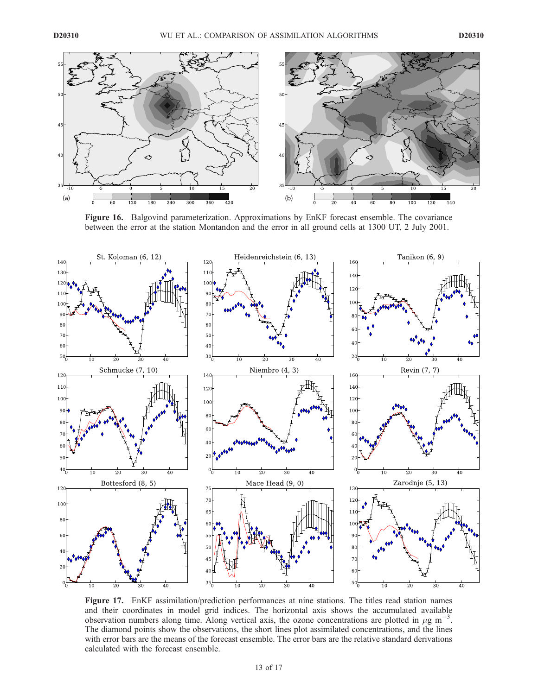

Figure 16. Balgovind parameterization. Approximations by EnKF forecast ensemble. The covariance between the error at the station Montandon and the error in all ground cells at 1300 UT, 2 July 2001.



Figure 17. EnKF assimilation/prediction performances at nine stations. The titles read station names and their coordinates in model grid indices. The horizontal axis shows the accumulated available observation numbers along time. Along vertical axis, the ozone concentrations are plotted in  $\mu$ g m<sup>-3</sup>. The diamond points show the observations, the short lines plot assimilated concentrations, and the lines with error bars are the means of the forecast ensemble. The error bars are the relative standard derivations calculated with the forecast ensemble.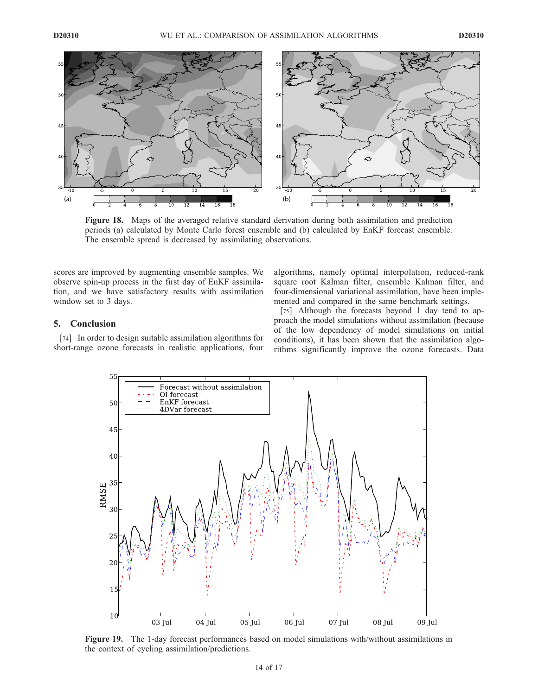

Figure 18. Maps of the averaged relative standard derivation during both assimilation and prediction periods (a) calculated by Monte Carlo forest ensemble and (b) calculated by EnKF forecast ensemble. The ensemble spread is decreased by assimilating observations.

scores are improved by augmenting ensemble samples. We observe spin-up process in the first day of EnKF assimilation, and we have satisfactory results with assimilation window set to 3 days.

algorithms, namely optimal interpolation, reduced-rank square root Kalman filter, ensemble Kalman filter, and four-dimensional variational assimilation, have been implemented and compared in the same benchmark settings.

# 5. Conclusion

[74] In order to design suitable assimilation algorithms for short-range ozone forecasts in realistic applications, four

[75] Although the forecasts beyond 1 day tend to approach the model simulations without assimilation (because of the low dependency of model simulations on initial conditions), it has been shown that the assimilation algorithms significantly improve the ozone forecasts. Data



Figure 19. The 1-day forecast performances based on model simulations with/without assimilations in the context of cycling assimilation/predictions.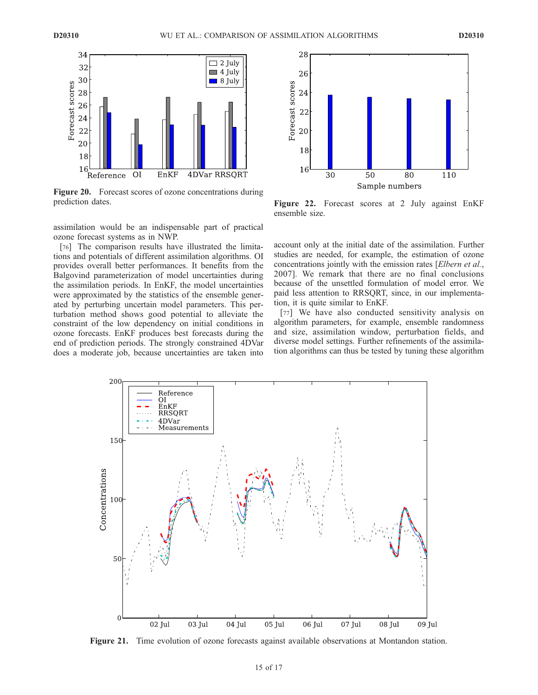

Figure 20. Forecast scores of ozone concentrations during prediction dates.

assimilation would be an indispensable part of practical ozone forecast systems as in NWP.

[76] The comparison results have illustrated the limitations and potentials of different assimilation algorithms. OI provides overall better performances. It benefits from the Balgovind parameterization of model uncertainties during the assimilation periods. In EnKF, the model uncertainties were approximated by the statistics of the ensemble generated by perturbing uncertain model parameters. This perturbation method shows good potential to alleviate the constraint of the low dependency on initial conditions in ozone forecasts. EnKF produces best forecasts during the end of prediction periods. The strongly constrained 4DVar does a moderate job, because uncertainties are taken into



Figure 22. Forecast scores at 2 July against EnKF ensemble size.

account only at the initial date of the assimilation. Further studies are needed, for example, the estimation of ozone concentrations jointly with the emission rates [Elbern et al., 2007]. We remark that there are no final conclusions because of the unsettled formulation of model error. We paid less attention to RRSQRT, since, in our implementation, it is quite similar to EnKF.

[77] We have also conducted sensitivity analysis on algorithm parameters, for example, ensemble randomness and size, assimilation window, perturbation fields, and diverse model settings. Further refinements of the assimilation algorithms can thus be tested by tuning these algorithm



Figure 21. Time evolution of ozone forecasts against available observations at Montandon station.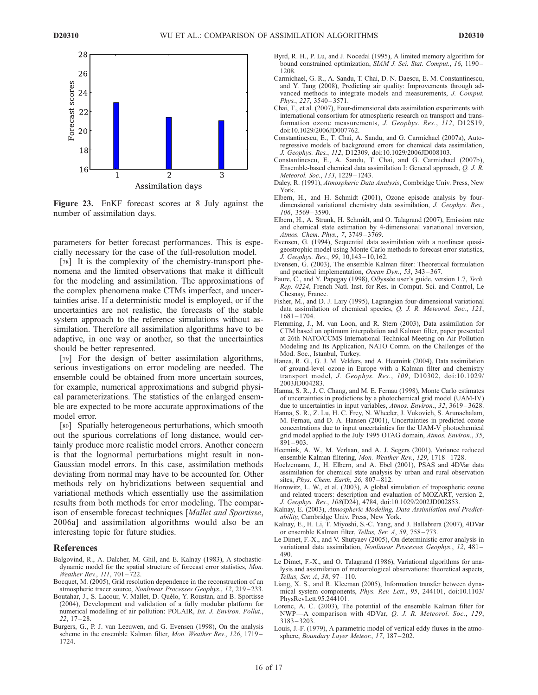

Figure 23. EnKF forecast scores at 8 July against the number of assimilation days.

parameters for better forecast performances. This is especially necessary for the case of the full-resolution model.

[78] It is the complexity of the chemistry-transport phenomena and the limited observations that make it difficult for the modeling and assimilation. The approximations of the complex phenomena make CTMs imperfect, and uncertainties arise. If a deterministic model is employed, or if the uncertainties are not realistic, the forecasts of the stable system approach to the reference simulations without assimilation. Therefore all assimilation algorithms have to be adaptive, in one way or another, so that the uncertainties should be better represented.

[79] For the design of better assimilation algorithms, serious investigations on error modeling are needed. The ensemble could be obtained from more uncertain sources, for example, numerical approximations and subgrid physical parameterizations. The statistics of the enlarged ensemble are expected to be more accurate approximations of the model error.

[80] Spatially heterogeneous perturbations, which smooth out the spurious correlations of long distance, would certainly produce more realistic model errors. Another concern is that the lognormal perturbations might result in non-Gaussian model errors. In this case, assimilation methods deviating from normal may have to be accounted for. Other methods rely on hybridizations between sequential and variational methods which essentially use the assimilation results from both methods for error modeling. The comparison of ensemble forecast techniques [Mallet and Sportisse, 2006a] and assimilation algorithms would also be an interesting topic for future studies.

#### References

- Balgovind, R., A. Dalcher, M. Ghil, and E. Kalnay (1983), A stochasticdynamic model for the spatial structure of forecast error statistics, Mon. Weather Rev., 111, 701-722.
- Bocquet, M. (2005), Grid resolution dependence in the reconstruction of an atmospheric tracer source, Nonlinear Processes Geophys., 12, 219-233.
- Boutahar, J., S. Lacour, V. Mallet, D. Quélo, Y. Roustan, and B. Sportisse (2004), Development and validation of a fully modular platform for numerical modelling of air pollution: POLAIR, Int. J. Environ. Pollut.,  $22, 17 - 28.$
- Burgers, G., P. J. van Leeuwen, and G. Evensen (1998), On the analysis scheme in the ensemble Kalman filter, Mon. Weather Rev., 126, 1719 – 1724.
- Byrd, R. H., P. Lu, and J. Nocedal (1995), A limited memory algorithm for bound constrained optimization, SIAM J. Sci. Stat. Comput., 16, 1190-1208.
- Carmichael, G. R., A. Sandu, T. Chai, D. N. Daescu, E. M. Constantinescu, and Y. Tang (2008), Predicting air quality: Improvements through advanced methods to integrate models and measurements, *J. Comput.* Phys., 227, 3540-3571.
- Chai, T., et al. (2007), Four-dimensional data assimilation experiments with international consortium for atmospheric research on transport and transformation ozone measurements, J. Geophys. Res., 112, D12S19, doi:10.1029/2006JD007762.
- Constantinescu, E., T. Chai, A. Sandu, and G. Carmichael (2007a), Autoregressive models of background errors for chemical data assimilation, J. Geophys. Res., 112, D12309, doi:10.1029/2006JD008103.
- Constantinescu, E., A. Sandu, T. Chai, and G. Carmichael (2007b), Ensemble-based chemical data assimilation I: General approach, Q. J. R. Meteorol. Soc., 133, 1229 – 1243.
- Daley, R. (1991), Atmospheric Data Analysis, Combridge Univ. Press, New York.
- Elbern, H., and H. Schmidt (2001), Ozone episode analysis by fourdimensional variational chemistry data assimilation, J. Geophys. Res., 106, 3569 – 3590.
- Elbern, H., A. Strunk, H. Schmidt, and O. Talagrand (2007), Emission rate and chemical state estimation by 4-dimensional variational inversion, Atmos. Chem. Phys., 7, 3749 – 3769.
- Evensen, G. (1994), Sequential data assimilation with a nonlinear quasigeostrophic model using Monte Carlo methods to forecast error statistics, J. Geophys. Res., 99, 10,143 – 10,162.
- Evensen, G. (2003), The ensemble Kalman filter: Theoretical formulation and practical implementation, Ocean Dyn., 53, 343 – 367.
- Faure, C., and Y. Papegay (1998), Odyssée user's guide, version 1.7, Tech. Rep. 0224, French Natl. Inst. for Res. in Comput. Sci. and Control, Le Chesnay, France.
- Fisher, M., and D. J. Lary (1995), Lagrangian four-dimensional variational data assimilation of chemical species, Q. J. R. Meteorol. Soc., 121, 1681 – 1704.
- Flemming, J., M. van Loon, and R. Stern (2003), Data assimilation for CTM based on optimum interpolation and Kalman filter, paper presented at 26th NATO/CCMS International Technical Meeting on Air Pollution Modeling and Its Application, NATO Comm. on the Challenges of the Mod. Soc., Istanbul, Turkey.
- Hanea, R. G., G. J. M. Velders, and A. Heemink (2004), Data assimilation of ground-level ozone in Europe with a Kalman filter and chemistry transport model, J. Geophys. Res., 109, D10302, doi:10.1029/ 2003JD004283.
- Hanna, S. R., J. C. Chang, and M. E. Fernau (1998), Monte Carlo estimates of uncertainties in predictions by a photochemical grid model (UAM-IV) due to uncertainties in input variables, Atmos. Environ., 32, 3619-3628.
- Hanna, S. R., Z. Lu, H. C. Frey, N. Wheeler, J. Vukovich, S. Arunachalam, M. Fernau, and D. A. Hansen (2001), Uncertainties in predicted ozone concentrations due to input uncertainties for the UAM-V photochemical grid model applied to the July 1995 OTAG domain, Atmos. Environ., 35,  $891 - 903$
- Heemink, A. W., M. Verlaan, and A. J. Segers (2001), Variance reduced ensemble Kalman filtering, Mon. Weather Rev., 129, 1718-1728.
- Hoelzemann, J., H. Elbern, and A. Ebel (2001), PSAS and 4DVar data assimilation for chemical state analysis by urban and rural observation sites, *Phys. Chem. Earth*, 26, 807-812.
- Horowitz, L. W., et al. (2003), A global simulation of tropospheric ozone and related tracers: description and evaluation of MOZART, version 2, J. Geophys. Res., 108(D24), 4784, doi:10.1029/2002JD002853.
- Kalnay, E. (2003), Atmospheric Modeling, Data Assimilation and Predictability, Cambridge Univ. Press, New York.
- Kalnay, E., H. Li, T. Miyoshi, S.-C. Yang, and J. Ballabrera (2007), 4DVar or ensemble Kalman filter, Tellus, Ser. A, 59, 758 – 773.
- Le Dimet, F.-X., and V. Shutyaev (2005), On deterministic error analysis in variational data assimilation, Nonlinear Processes Geophys., 12, 481 – 490.
- Le Dimet, F.-X., and O. Talagrand (1986), Variational algorithms for analysis and assimilation of meteorological observations: theoretical aspects, Tellus, Ser. A, 38, 97 – 110.
- Liang, X. S., and R. Kleeman (2005), Information transfer between dynamical system components, Phys. Rev. Lett., 95, 244101, doi:10.1103/ PhysRevLett.95.244101.
- Lorenc, A. C. (2003), The potential of the ensemble Kalman filter for NWP—A comparison with 4DVar, Q. J. R. Meteorol. Soc., 129, 3183 – 3203.
- Louis, J.-F. (1979), A parametric model of vertical eddy fluxes in the atmosphere, Boundary Layer Meteor., 17, 187-202.